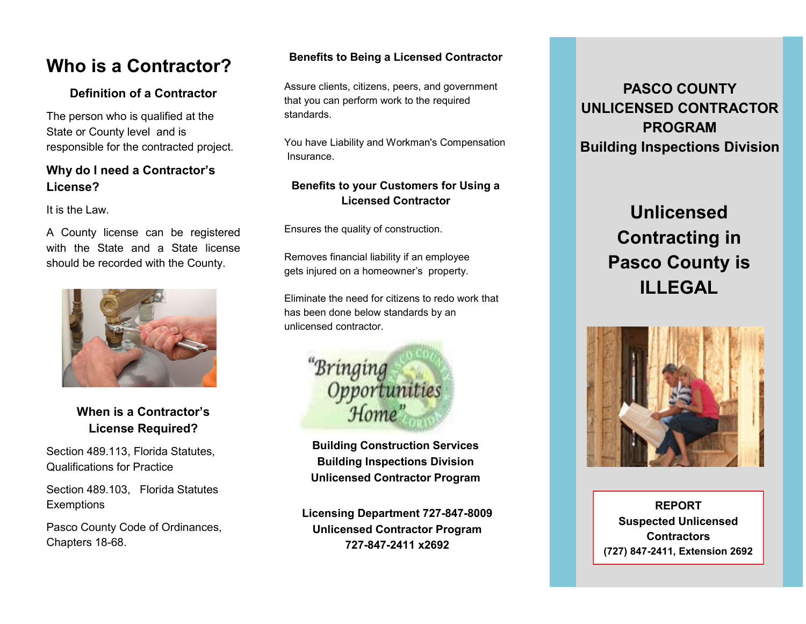# **Who is a Contractor?**

## **Definition of a Contractor**

The person who is qualified at the State or County level and is responsible for the contracted project.

## **Why do I need a Contractor's License?**

It is the Law.

A County license can be registered with the State and a State license should be recorded with the County.



# **When is a Contractor's License Required?**

Section 489.113, Florida Statutes, Qualifications for Practice

Section 489.103, Florida Statutes **Exemptions** 

Pasco County Code of Ordinances, Chapters 18-68.

### **Benefits to Being a Licensed Contractor**

Assure clients, citizens, peers, and government that you can perform work to the required standards.

You have Liability and Workman's Compensation **Insurance** 

## **Benefits to your Customers for Using a Licensed Contractor**

Ensures the quality of construction.

Removes financial liability if an employee gets injured on a homeowner's property.

Eliminate the need for citizens to redo work that has been done below standards by an unlicensed contractor.



**Building Construction Services Building Inspections Division Unlicensed Contractor Program**

**Licensing Department 727-847-8009 Unlicensed Contractor Program 727-847-2411 x2692**

# **PASCO COUNTY UNLICENSED CONTRACTOR PROGRAM Building Inspections Division**

# **Unlicensed Contracting in Pasco County is ILLEGAL**



**REPORT Suspected Unlicensed Contractors (727) 847-2411, Extension 2692**